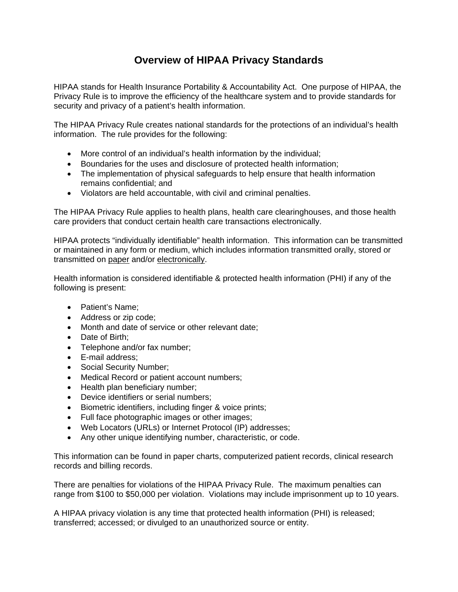## **Overview of HIPAA Privacy Standards**

HIPAA stands for Health Insurance Portability & Accountability Act. One purpose of HIPAA, the Privacy Rule is to improve the efficiency of the healthcare system and to provide standards for security and privacy of a patient's health information.

The HIPAA Privacy Rule creates national standards for the protections of an individual's health information. The rule provides for the following:

- More control of an individual's health information by the individual;
- Boundaries for the uses and disclosure of protected health information;
- The implementation of physical safeguards to help ensure that health information remains confidential; and
- Violators are held accountable, with civil and criminal penalties.

The HIPAA Privacy Rule applies to health plans, health care clearinghouses, and those health care providers that conduct certain health care transactions electronically.

HIPAA protects "individually identifiable" health information. This information can be transmitted or maintained in any form or medium, which includes information transmitted orally, stored or transmitted on paper and/or electronically.

Health information is considered identifiable & protected health information (PHI) if any of the following is present:

- Patient's Name:
- Address or zip code;
- Month and date of service or other relevant date:
- Date of Birth;
- Telephone and/or fax number;
- E-mail address:
- Social Security Number;
- Medical Record or patient account numbers;
- Health plan beneficiary number:
- Device identifiers or serial numbers:
- Biometric identifiers, including finger & voice prints;
- Full face photographic images or other images;
- Web Locators (URLs) or Internet Protocol (IP) addresses;
- Any other unique identifying number, characteristic, or code.

This information can be found in paper charts, computerized patient records, clinical research records and billing records.

There are penalties for violations of the HIPAA Privacy Rule. The maximum penalties can range from \$100 to \$50,000 per violation. Violations may include imprisonment up to 10 years.

A HIPAA privacy violation is any time that protected health information (PHI) is released; transferred; accessed; or divulged to an unauthorized source or entity.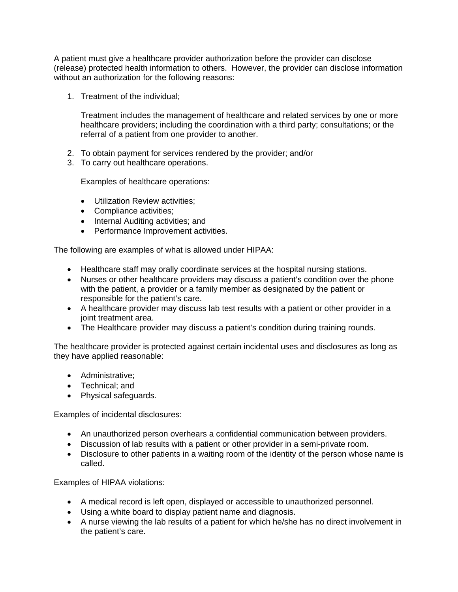A patient must give a healthcare provider authorization before the provider can disclose (release) protected health information to others. However, the provider can disclose information without an authorization for the following reasons:

1. Treatment of the individual;

Treatment includes the management of healthcare and related services by one or more healthcare providers; including the coordination with a third party; consultations; or the referral of a patient from one provider to another.

- 2. To obtain payment for services rendered by the provider; and/or
- 3. To carry out healthcare operations.

Examples of healthcare operations:

- Utilization Review activities;
- Compliance activities:
- Internal Auditing activities; and
- Performance Improvement activities.

The following are examples of what is allowed under HIPAA:

- Healthcare staff may orally coordinate services at the hospital nursing stations.
- Nurses or other healthcare providers may discuss a patient's condition over the phone with the patient, a provider or a family member as designated by the patient or responsible for the patient's care.
- A healthcare provider may discuss lab test results with a patient or other provider in a joint treatment area.
- The Healthcare provider may discuss a patient's condition during training rounds.

The healthcare provider is protected against certain incidental uses and disclosures as long as they have applied reasonable:

- Administrative:
- Technical: and
- Physical safeguards.

Examples of incidental disclosures:

- An unauthorized person overhears a confidential communication between providers.
- Discussion of lab results with a patient or other provider in a semi-private room.
- Disclosure to other patients in a waiting room of the identity of the person whose name is called.

Examples of HIPAA violations:

- A medical record is left open, displayed or accessible to unauthorized personnel.
- Using a white board to display patient name and diagnosis.
- A nurse viewing the lab results of a patient for which he/she has no direct involvement in the patient's care.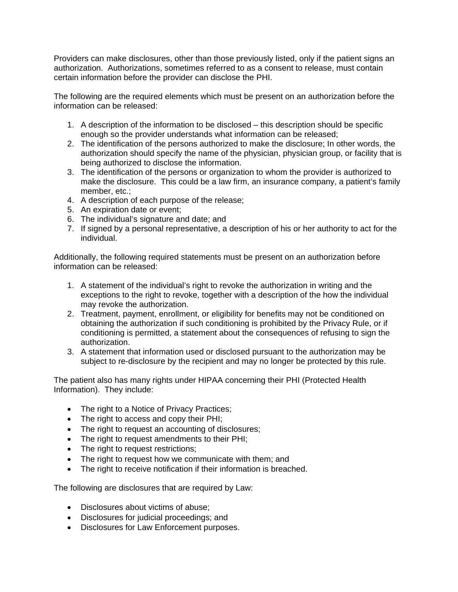Providers can make disclosures, other than those previously listed, only if the patient signs an authorization. Authorizations, sometimes referred to as a consent to release, must contain certain information before the provider can disclose the PHI.

The following are the required elements which must be present on an authorization before the information can be released:

- 1. A description of the information to be disclosed this description should be specific enough so the provider understands what information can be released;
- 2. The identification of the persons authorized to make the disclosure; In other words, the authorization should specify the name of the physician, physician group, or facility that is being authorized to disclose the information.
- 3. The identification of the persons or organization to whom the provider is authorized to make the disclosure. This could be a law firm, an insurance company, a patient's family member, etc.;
- 4. A description of each purpose of the release;
- 5. An expiration date or event;
- 6. The individual's signature and date; and
- 7. If signed by a personal representative, a description of his or her authority to act for the individual.

Additionally, the following required statements must be present on an authorization before information can be released:

- 1. A statement of the individual's right to revoke the authorization in writing and the exceptions to the right to revoke, together with a description of the how the individual may revoke the authorization.
- 2. Treatment, payment, enrollment, or eligibility for benefits may not be conditioned on obtaining the authorization if such conditioning is prohibited by the Privacy Rule, or if conditioning is permitted, a statement about the consequences of refusing to sign the authorization.
- 3. A statement that information used or disclosed pursuant to the authorization may be subject to re-disclosure by the recipient and may no longer be protected by this rule.

The patient also has many rights under HIPAA concerning their PHI (Protected Health Information). They include:

- The right to a Notice of Privacy Practices;
- The right to access and copy their PHI;
- The right to request an accounting of disclosures;
- The right to request amendments to their PHI;
- The right to request restrictions;
- The right to request how we communicate with them; and
- The right to receive notification if their information is breached.

The following are disclosures that are required by Law:

- Disclosures about victims of abuse:
- Disclosures for judicial proceedings; and
- Disclosures for Law Enforcement purposes.